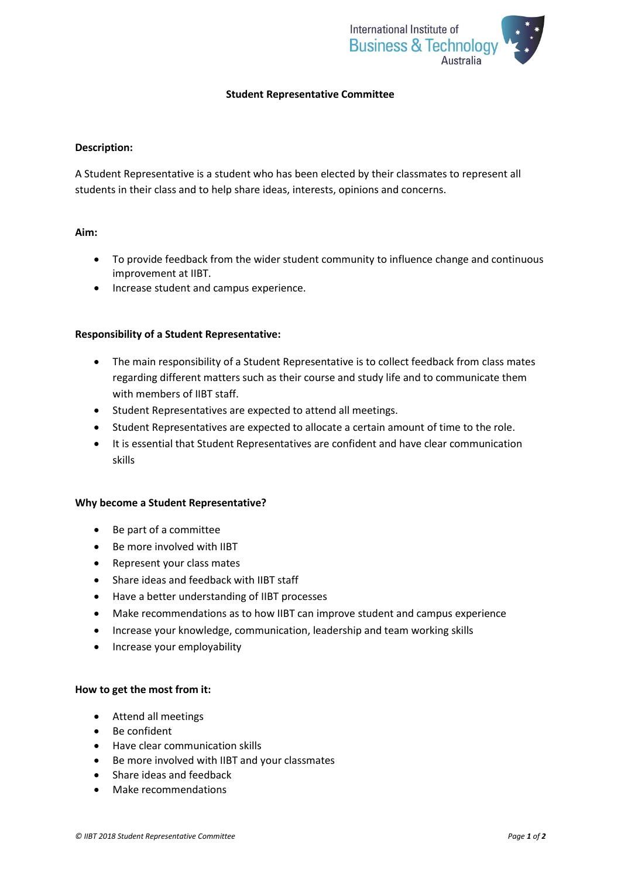

# **Student Representative Committee**

### **Description:**

A Student Representative is a student who has been elected by their classmates to represent all students in their class and to help share ideas, interests, opinions and concerns.

## **Aim:**

- To provide feedback from the wider student community to influence change and continuous improvement at IIBT.
- Increase student and campus experience.

### **Responsibility of a Student Representative:**

- The main responsibility of a Student Representative is to collect feedback from class mates regarding different matters such as their course and study life and to communicate them with members of IIBT staff.
- Student Representatives are expected to attend all meetings.
- Student Representatives are expected to allocate a certain amount of time to the role.
- It is essential that Student Representatives are confident and have clear communication skills

#### **Why become a Student Representative?**

- Be part of a committee
- Be more involved with IIBT
- Represent your class mates
- Share ideas and feedback with IIBT staff
- Have a better understanding of IIBT processes
- Make recommendations as to how IIBT can improve student and campus experience
- Increase your knowledge, communication, leadership and team working skills
- Increase your employability

## **How to get the most from it:**

- Attend all meetings
- Be confident
- Have clear communication skills
- Be more involved with IIBT and your classmates
- Share ideas and feedback
- Make recommendations